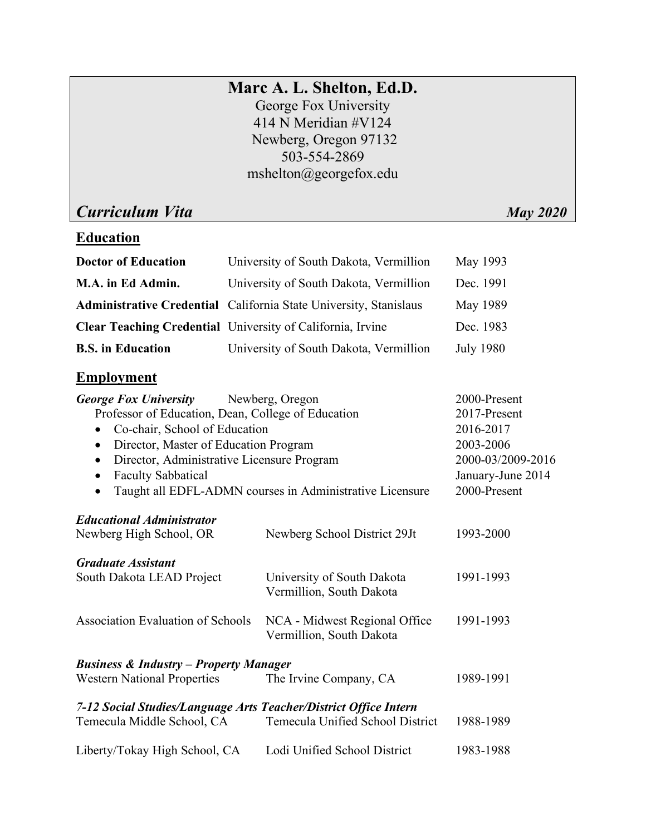# **Marc A. L. Shelton, Ed.D.**

George Fox University 414 N Meridian #V124 Newberg, Oregon 97132 503-554-2869 mshelton@georgefox.edu

*Curriculum Vita* May 2020

# **Education**

| <b>Doctor of Education</b> | University of South Dakota, Vermillion                                   | May 1993         |
|----------------------------|--------------------------------------------------------------------------|------------------|
| M.A. in Ed Admin.          | University of South Dakota, Vermillion                                   | Dec. 1991        |
|                            | <b>Administrative Credential</b> California State University, Stanislaus | May 1989         |
|                            | <b>Clear Teaching Credential</b> University of California, Irvine        | Dec. 1983        |
| <b>B.S.</b> in Education   | University of South Dakota, Vermillion                                   | <b>July 1980</b> |

# **Employment**

| <b>George Fox University</b>                                          | Newberg, Oregon                                           | 2000-Present      |
|-----------------------------------------------------------------------|-----------------------------------------------------------|-------------------|
| Professor of Education, Dean, College of Education                    | 2017-Present                                              |                   |
| Co-chair, School of Education<br>$\bullet$                            | 2016-2017                                                 |                   |
| Director, Master of Education Program<br>$\bullet$                    |                                                           | 2003-2006         |
| Director, Administrative Licensure Program<br>$\bullet$               |                                                           | 2000-03/2009-2016 |
| <b>Faculty Sabbatical</b><br>$\bullet$                                |                                                           | January-June 2014 |
| Taught all EDFL-ADMN courses in Administrative Licensure<br>$\bullet$ |                                                           | 2000-Present      |
| <b>Educational Administrator</b>                                      |                                                           |                   |
| Newberg High School, OR                                               | Newberg School District 29Jt                              | 1993-2000         |
| <b>Graduate Assistant</b>                                             |                                                           |                   |
| South Dakota LEAD Project                                             | University of South Dakota<br>Vermillion, South Dakota    | 1991-1993         |
| <b>Association Evaluation of Schools</b>                              | NCA - Midwest Regional Office<br>Vermillion, South Dakota | 1991-1993         |
| <b>Business &amp; Industry - Property Manager</b>                     |                                                           |                   |
| <b>Western National Properties</b>                                    | The Irvine Company, CA                                    | 1989-1991         |
| 7-12 Social Studies/Language Arts Teacher/District Office Intern      |                                                           |                   |
| Temecula Middle School, CA                                            | Temecula Unified School District                          | 1988-1989         |
| Liberty/Tokay High School, CA                                         | Lodi Unified School District                              | 1983-1988         |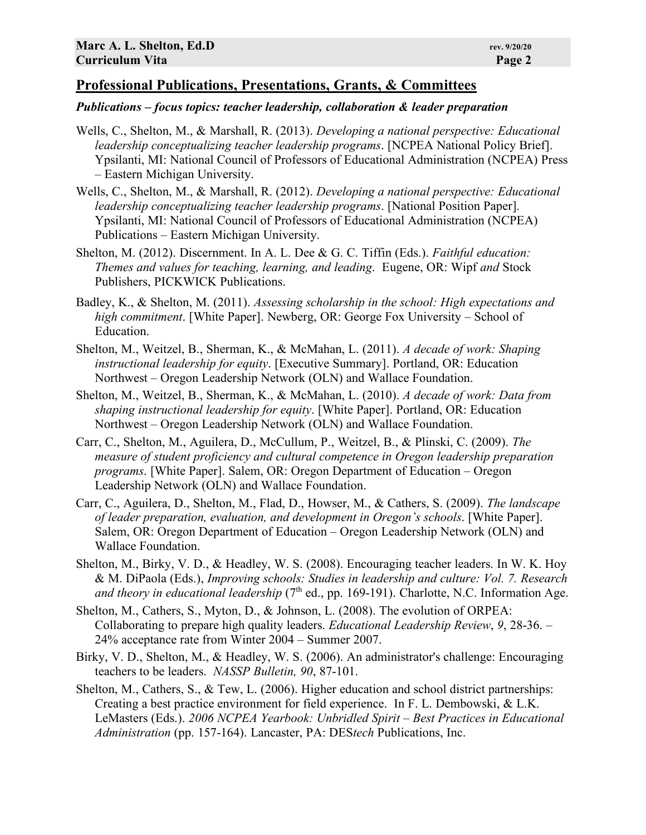### **Professional Publications, Presentations, Grants, & Committees**

#### *Publications – focus topics: teacher leadership, collaboration & leader preparation*

- Wells, C., Shelton, M., & Marshall, R. (2013). *Developing a national perspective: Educational leadership conceptualizing teacher leadership programs*. [NCPEA National Policy Brief]. Ypsilanti, MI: National Council of Professors of Educational Administration (NCPEA) Press – Eastern Michigan University.
- Wells, C., Shelton, M., & Marshall, R. (2012). *Developing a national perspective: Educational leadership conceptualizing teacher leadership programs*. [National Position Paper]. Ypsilanti, MI: National Council of Professors of Educational Administration (NCPEA) Publications – Eastern Michigan University.
- Shelton, M. (2012). Discernment. In A. L. Dee & G. C. Tiffin (Eds.). *Faithful education: Themes and values for teaching, learning, and leading*. Eugene, OR: Wipf *and* Stock Publishers, PICKWICK Publications.
- Badley, K., & Shelton, M. (2011). *Assessing scholarship in the school: High expectations and high commitment*. [White Paper]. Newberg, OR: George Fox University – School of Education.
- Shelton, M., Weitzel, B., Sherman, K., & McMahan, L. (2011). *A decade of work: Shaping instructional leadership for equity*. [Executive Summary]. Portland, OR: Education Northwest – Oregon Leadership Network (OLN) and Wallace Foundation.
- Shelton, M., Weitzel, B., Sherman, K., & McMahan, L. (2010). *A decade of work: Data from shaping instructional leadership for equity*. [White Paper]. Portland, OR: Education Northwest – Oregon Leadership Network (OLN) and Wallace Foundation.
- Carr, C., Shelton, M., Aguilera, D., McCullum, P., Weitzel, B., & Plinski, C. (2009). *The measure of student proficiency and cultural competence in Oregon leadership preparation programs*. [White Paper]. Salem, OR: Oregon Department of Education – Oregon Leadership Network (OLN) and Wallace Foundation.
- Carr, C., Aguilera, D., Shelton, M., Flad, D., Howser, M., & Cathers, S. (2009). *The landscape of leader preparation, evaluation, and development in Oregon's schools*. [White Paper]. Salem, OR: Oregon Department of Education – Oregon Leadership Network (OLN) and Wallace Foundation.
- Shelton, M., Birky, V. D., & Headley, W. S. (2008). Encouraging teacher leaders. In W. K. Hoy & M. DiPaola (Eds.), *Improving schools: Studies in leadership and culture: Vol. 7. Research*  and theory in educational leadership (7<sup>th</sup> ed., pp. 169-191). Charlotte, N.C. Information Age.
- Shelton, M., Cathers, S., Myton, D., & Johnson, L. (2008). The evolution of ORPEA: Collaborating to prepare high quality leaders. *Educational Leadership Review*, *9*, 28-36. – 24% acceptance rate from Winter 2004 – Summer 2007.
- Birky, V. D., Shelton, M., & Headley, W. S. (2006). An administrator's challenge: Encouraging teachers to be leaders. *NASSP Bulletin, 90*, 87-101.
- Shelton, M., Cathers, S., & Tew, L. (2006). Higher education and school district partnerships: Creating a best practice environment for field experience. In F. L. Dembowski, & L.K. LeMasters (Eds.). *2006 NCPEA Yearbook: Unbridled Spirit – Best Practices in Educational Administration* (pp. 157-164). Lancaster, PA: DES*tech* Publications, Inc.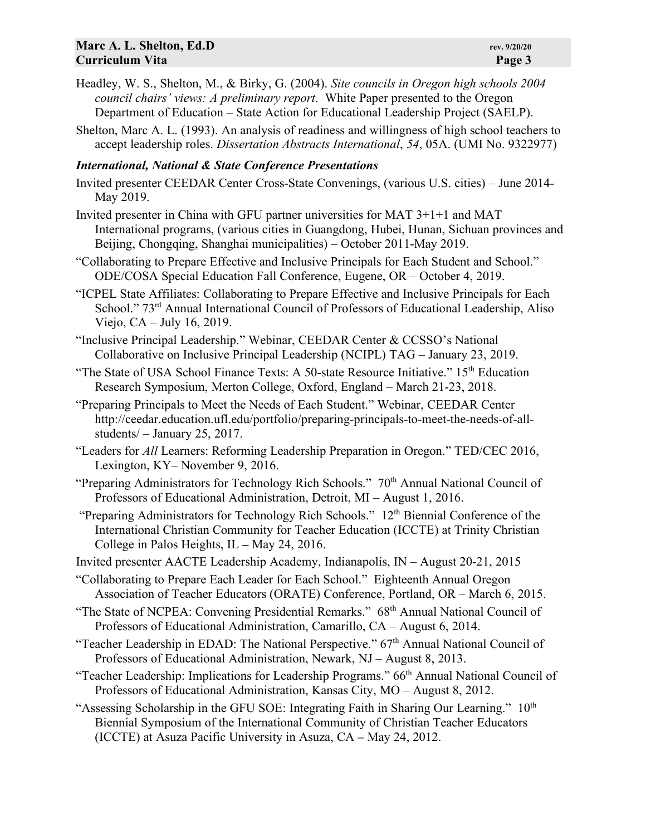- Headley, W. S., Shelton, M., & Birky, G. (2004). *Site councils in Oregon high schools 2004 council chairs' views: A preliminary report*. White Paper presented to the Oregon Department of Education – State Action for Educational Leadership Project (SAELP).
- Shelton, Marc A. L. (1993). An analysis of readiness and willingness of high school teachers to accept leadership roles. *Dissertation Abstracts International*, *54*, 05A. (UMI No. 9322977)

#### *International, National & State Conference Presentations*

- Invited presenter CEEDAR Center Cross-State Convenings, (various U.S. cities) June 2014- May 2019.
- Invited presenter in China with GFU partner universities for MAT 3+1+1 and MAT International programs, (various cities in Guangdong, Hubei, Hunan, Sichuan provinces and Beijing, Chongqing, Shanghai municipalities) – October 2011-May 2019.
- "Collaborating to Prepare Effective and Inclusive Principals for Each Student and School." ODE/COSA Special Education Fall Conference, Eugene, OR – October 4, 2019.
- "ICPEL State Affiliates: Collaborating to Prepare Effective and Inclusive Principals for Each School." 73<sup>rd</sup> Annual International Council of Professors of Educational Leadership, Aliso Viejo, CA – July 16, 2019.
- "Inclusive Principal Leadership." Webinar, CEEDAR Center & CCSSO's National Collaborative on Inclusive Principal Leadership (NCIPL) TAG – January 23, 2019.
- "The State of USA School Finance Texts: A 50-state Resource Initiative."  $15<sup>th</sup>$  Education Research Symposium, Merton College, Oxford, England – March 21-23, 2018.
- "Preparing Principals to Meet the Needs of Each Student." Webinar, CEEDAR Center http://ceedar.education.ufl.edu/portfolio/preparing-principals-to-meet-the-needs-of-allstudents/ – January 25, 2017.
- "Leaders for *All* Learners: Reforming Leadership Preparation in Oregon." TED/CEC 2016, Lexington, KY– November 9, 2016.
- "Preparing Administrators for Technology Rich Schools." 70<sup>th</sup> Annual National Council of Professors of Educational Administration, Detroit, MI – August 1, 2016.
- "Preparing Administrators for Technology Rich Schools." 12<sup>th</sup> Biennial Conference of the International Christian Community for Teacher Education (ICCTE) at Trinity Christian College in Palos Heights, IL **–** May 24, 2016.
- Invited presenter AACTE Leadership Academy, Indianapolis, IN August 20-21, 2015
- "Collaborating to Prepare Each Leader for Each School." Eighteenth Annual Oregon Association of Teacher Educators (ORATE) Conference, Portland, OR – March 6, 2015.
- "The State of NCPEA: Convening Presidential Remarks." 68<sup>th</sup> Annual National Council of Professors of Educational Administration, Camarillo, CA – August 6, 2014.
- "Teacher Leadership in EDAD: The National Perspective." 67<sup>th</sup> Annual National Council of Professors of Educational Administration, Newark, NJ – August 8, 2013.
- "Teacher Leadership: Implications for Leadership Programs." 66<sup>th</sup> Annual National Council of Professors of Educational Administration, Kansas City, MO – August 8, 2012.
- "Assessing Scholarship in the GFU SOE: Integrating Faith in Sharing Our Learning."  $10<sup>th</sup>$ Biennial Symposium of the International Community of Christian Teacher Educators (ICCTE) at Asuza Pacific University in Asuza, CA **–** May 24, 2012.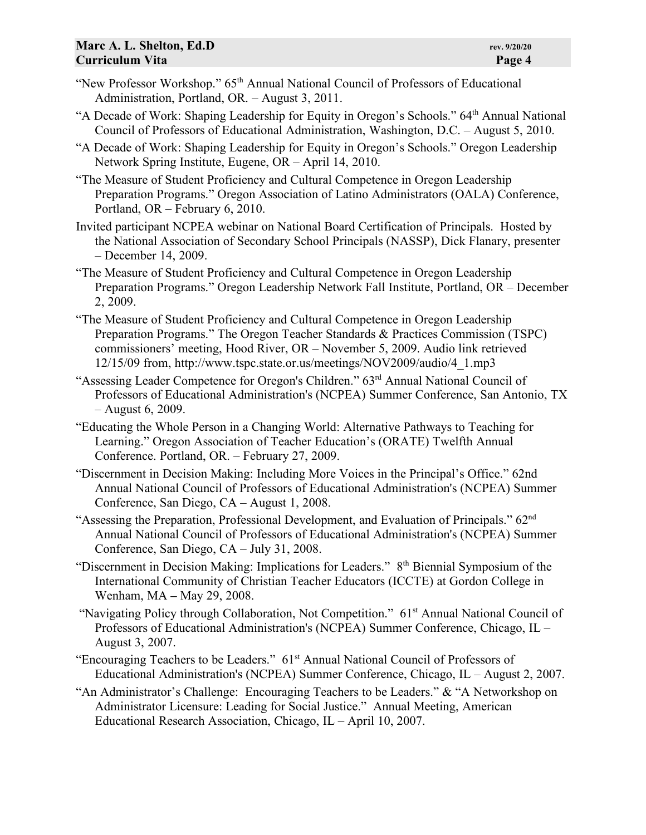- "New Professor Workshop." 65<sup>th</sup> Annual National Council of Professors of Educational Administration, Portland, OR. – August 3, 2011.
- "A Decade of Work: Shaping Leadership for Equity in Oregon's Schools." 64<sup>th</sup> Annual National Council of Professors of Educational Administration, Washington, D.C. – August 5, 2010.
- "A Decade of Work: Shaping Leadership for Equity in Oregon's Schools." Oregon Leadership Network Spring Institute, Eugene, OR – April 14, 2010.
- "The Measure of Student Proficiency and Cultural Competence in Oregon Leadership Preparation Programs." Oregon Association of Latino Administrators (OALA) Conference, Portland, OR – February 6, 2010.
- Invited participant NCPEA webinar on National Board Certification of Principals. Hosted by the National Association of Secondary School Principals (NASSP), Dick Flanary, presenter – December 14, 2009.
- "The Measure of Student Proficiency and Cultural Competence in Oregon Leadership Preparation Programs." Oregon Leadership Network Fall Institute, Portland, OR – December 2, 2009.
- "The Measure of Student Proficiency and Cultural Competence in Oregon Leadership Preparation Programs." The Oregon Teacher Standards & Practices Commission (TSPC) commissioners' meeting, Hood River, OR – November 5, 2009. Audio link retrieved 12/15/09 from, http://www.tspc.state.or.us/meetings/NOV2009/audio/4\_1.mp3
- "Assessing Leader Competence for Oregon's Children." 63rd Annual National Council of Professors of Educational Administration's (NCPEA) Summer Conference, San Antonio, TX – August 6, 2009.
- "Educating the Whole Person in a Changing World: Alternative Pathways to Teaching for Learning." Oregon Association of Teacher Education's (ORATE) Twelfth Annual Conference. Portland, OR. – February 27, 2009.
- "Discernment in Decision Making: Including More Voices in the Principal's Office." 62nd Annual National Council of Professors of Educational Administration's (NCPEA) Summer Conference, San Diego, CA – August 1, 2008.
- "Assessing the Preparation, Professional Development, and Evaluation of Principals." 62nd Annual National Council of Professors of Educational Administration's (NCPEA) Summer Conference, San Diego, CA – July 31, 2008.
- "Discernment in Decision Making: Implications for Leaders."8th Biennial Symposium of the International Community of Christian Teacher Educators (ICCTE) at Gordon College in Wenham, MA **–** May 29, 2008.
- "Navigating Policy through Collaboration, Not Competition." 61<sup>st</sup> Annual National Council of Professors of Educational Administration's (NCPEA) Summer Conference, Chicago, IL – August 3, 2007.
- "Encouraging Teachers to be Leaders." 61st Annual National Council of Professors of Educational Administration's (NCPEA) Summer Conference, Chicago, IL – August 2, 2007.
- "An Administrator's Challenge: Encouraging Teachers to be Leaders." & "A Networkshop on Administrator Licensure: Leading for Social Justice." Annual Meeting, American Educational Research Association, Chicago, IL – April 10, 2007.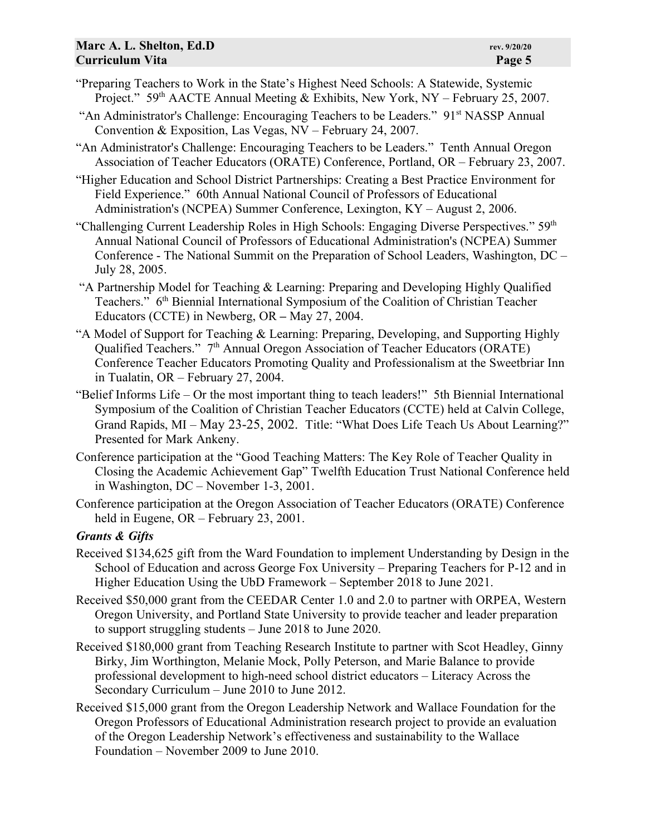- "Preparing Teachers to Work in the State's Highest Need Schools: A Statewide, Systemic Project." 59<sup>th</sup> AACTE Annual Meeting & Exhibits, New York, NY – February 25, 2007.
- "An Administrator's Challenge: Encouraging Teachers to be Leaders." 91st NASSP Annual Convention & Exposition, Las Vegas, NV – February 24, 2007.
- "An Administrator's Challenge: Encouraging Teachers to be Leaders." Tenth Annual Oregon Association of Teacher Educators (ORATE) Conference, Portland, OR – February 23, 2007.

"Higher Education and School District Partnerships: Creating a Best Practice Environment for Field Experience." 60th Annual National Council of Professors of Educational Administration's (NCPEA) Summer Conference, Lexington, KY – August 2, 2006.

- "Challenging Current Leadership Roles in High Schools: Engaging Diverse Perspectives." 59<sup>th</sup> Annual National Council of Professors of Educational Administration's (NCPEA) Summer Conference - The National Summit on the Preparation of School Leaders, Washington, DC – July 28, 2005.
- "A Partnership Model for Teaching & Learning: Preparing and Developing Highly Qualified Teachers."6th Biennial International Symposium of the Coalition of Christian Teacher Educators (CCTE) in Newberg, OR **–** May 27, 2004.
- "A Model of Support for Teaching & Learning: Preparing, Developing, and Supporting Highly Qualified Teachers." 7<sup>th</sup> Annual Oregon Association of Teacher Educators (ORATE) Conference Teacher Educators Promoting Quality and Professionalism at the Sweetbriar Inn in Tualatin, OR – February 27, 2004.
- "Belief Informs Life Or the most important thing to teach leaders!" 5th Biennial International Symposium of the Coalition of Christian Teacher Educators (CCTE) held at Calvin College, Grand Rapids, MI – May 23-25, 2002. Title: "What Does Life Teach Us About Learning?" Presented for Mark Ankeny.
- Conference participation at the "Good Teaching Matters: The Key Role of Teacher Quality in Closing the Academic Achievement Gap" Twelfth Education Trust National Conference held in Washington, DC – November 1-3, 2001.
- Conference participation at the Oregon Association of Teacher Educators (ORATE) Conference held in Eugene, OR – February 23, 2001.

## *Grants & Gifts*

- Received \$134,625 gift from the Ward Foundation to implement Understanding by Design in the School of Education and across George Fox University – Preparing Teachers for P-12 and in Higher Education Using the UbD Framework – September 2018 to June 2021.
- Received \$50,000 grant from the CEEDAR Center 1.0 and 2.0 to partner with ORPEA, Western Oregon University, and Portland State University to provide teacher and leader preparation to support struggling students – June 2018 to June 2020.
- Received \$180,000 grant from Teaching Research Institute to partner with Scot Headley, Ginny Birky, Jim Worthington, Melanie Mock, Polly Peterson, and Marie Balance to provide professional development to high-need school district educators – Literacy Across the Secondary Curriculum – June 2010 to June 2012.
- Received \$15,000 grant from the Oregon Leadership Network and Wallace Foundation for the Oregon Professors of Educational Administration research project to provide an evaluation of the Oregon Leadership Network's effectiveness and sustainability to the Wallace Foundation – November 2009 to June 2010.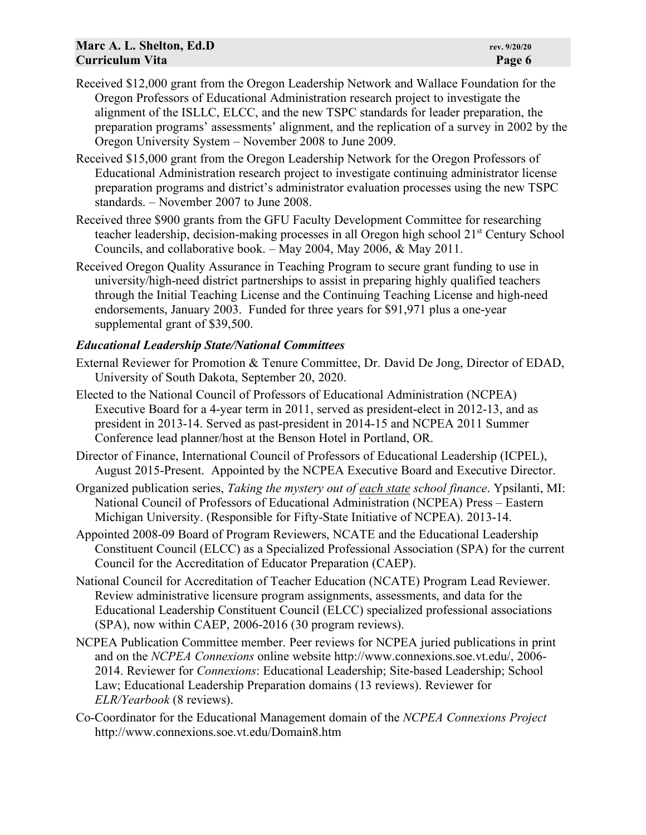- Received \$12,000 grant from the Oregon Leadership Network and Wallace Foundation for the Oregon Professors of Educational Administration research project to investigate the alignment of the ISLLC, ELCC, and the new TSPC standards for leader preparation, the preparation programs' assessments' alignment, and the replication of a survey in 2002 by the Oregon University System – November 2008 to June 2009.
- Received \$15,000 grant from the Oregon Leadership Network for the Oregon Professors of Educational Administration research project to investigate continuing administrator license preparation programs and district's administrator evaluation processes using the new TSPC standards. – November 2007 to June 2008.
- Received three \$900 grants from the GFU Faculty Development Committee for researching teacher leadership, decision-making processes in all Oregon high school 21<sup>st</sup> Century School Councils, and collaborative book. – May 2004, May 2006, & May 2011.
- Received Oregon Quality Assurance in Teaching Program to secure grant funding to use in university/high-need district partnerships to assist in preparing highly qualified teachers through the Initial Teaching License and the Continuing Teaching License and high-need endorsements, January 2003. Funded for three years for \$91,971 plus a one-year supplemental grant of \$39,500.

## *Educational Leadership State/National Committees*

- External Reviewer for Promotion & Tenure Committee, Dr. David De Jong, Director of EDAD, University of South Dakota, September 20, 2020.
- Elected to the National Council of Professors of Educational Administration (NCPEA) Executive Board for a 4-year term in 2011, served as president-elect in 2012-13, and as president in 2013-14. Served as past-president in 2014-15 and NCPEA 2011 Summer Conference lead planner/host at the Benson Hotel in Portland, OR.
- Director of Finance, International Council of Professors of Educational Leadership (ICPEL), August 2015-Present. Appointed by the NCPEA Executive Board and Executive Director.
- Organized publication series, *Taking the mystery out of each state school finance*. Ypsilanti, MI: National Council of Professors of Educational Administration (NCPEA) Press – Eastern Michigan University. (Responsible for Fifty-State Initiative of NCPEA). 2013-14.
- Appointed 2008-09 Board of Program Reviewers, NCATE and the Educational Leadership Constituent Council (ELCC) as a Specialized Professional Association (SPA) for the current Council for the Accreditation of Educator Preparation (CAEP).
- National Council for Accreditation of Teacher Education (NCATE) Program Lead Reviewer. Review administrative licensure program assignments, assessments, and data for the Educational Leadership Constituent Council (ELCC) specialized professional associations (SPA), now within CAEP, 2006-2016 (30 program reviews).
- NCPEA Publication Committee member. Peer reviews for NCPEA juried publications in print and on the *NCPEA Connexions* online website http://www.connexions.soe.vt.edu/, 2006- 2014. Reviewer for *Connexions*: Educational Leadership; Site-based Leadership; School Law; Educational Leadership Preparation domains (13 reviews). Reviewer for *ELR/Yearbook* (8 reviews).
- Co-Coordinator for the Educational Management domain of the *NCPEA Connexions Project* http://www.connexions.soe.vt.edu/Domain8.htm